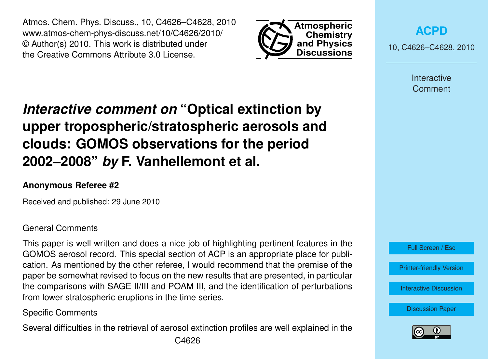Atmos. Chem. Phys. Discuss., 10, C4626–C4628, 2010 www.atmos-chem-phys-discuss.net/10/C4626/2010/ © Author(s) 2010. This work is distributed under the Creative Commons Attribute 3.0 License.



**[ACPD](http://www.atmos-chem-phys-discuss.net)**

10, C4626–C4628, 2010

Interactive **Comment** 

# *Interactive comment on* **"Optical extinction by upper tropospheric/stratospheric aerosols and clouds: GOMOS observations for the period 2002–2008"** *by* **F. Vanhellemont et al.**

## **Anonymous Referee #2**

Received and published: 29 June 2010

#### General Comments

This paper is well written and does a nice job of highlighting pertinent features in the GOMOS aerosol record. This special section of ACP is an appropriate place for publication. As mentioned by the other referee, I would recommend that the premise of the paper be somewhat revised to focus on the new results that are presented, in particular the comparisons with SAGE II/III and POAM III, and the identification of perturbations from lower stratospheric eruptions in the time series.

## Specific Comments

Several difficulties in the retrieval of aerosol extinction profiles are well explained in the



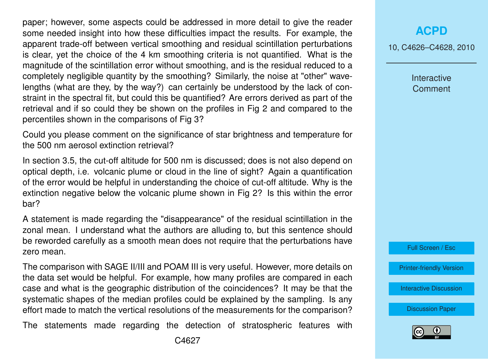paper; however, some aspects could be addressed in more detail to give the reader some needed insight into how these difficulties impact the results. For example, the apparent trade-off between vertical smoothing and residual scintillation perturbations is clear, yet the choice of the 4 km smoothing criteria is not quantified. What is the magnitude of the scintillation error without smoothing, and is the residual reduced to a completely negligible quantity by the smoothing? Similarly, the noise at "other" wavelengths (what are they, by the way?) can certainly be understood by the lack of constraint in the spectral fit, but could this be quantified? Are errors derived as part of the retrieval and if so could they be shown on the profiles in Fig 2 and compared to the percentiles shown in the comparisons of Fig 3?

Could you please comment on the significance of star brightness and temperature for the 500 nm aerosol extinction retrieval?

In section 3.5, the cut-off altitude for 500 nm is discussed; does is not also depend on optical depth, i.e. volcanic plume or cloud in the line of sight? Again a quantification of the error would be helpful in understanding the choice of cut-off altitude. Why is the extinction negative below the volcanic plume shown in Fig 2? Is this within the error bar?

A statement is made regarding the "disappearance" of the residual scintillation in the zonal mean. I understand what the authors are alluding to, but this sentence should be reworded carefully as a smooth mean does not require that the perturbations have zero mean.

The comparison with SAGE II/III and POAM III is very useful. However, more details on the data set would be helpful. For example, how many profiles are compared in each case and what is the geographic distribution of the coincidences? It may be that the systematic shapes of the median profiles could be explained by the sampling. Is any effort made to match the vertical resolutions of the measurements for the comparison?

The statements made regarding the detection of stratospheric features with

10, C4626–C4628, 2010

Interactive **Comment** 



[Printer-friendly Version](http://www.atmos-chem-phys-discuss.net/10/C4626/2010/acpd-10-C4626-2010-print.pdf)

[Interactive Discussion](http://www.atmos-chem-phys-discuss.net/10/11109/2010/acpd-10-11109-2010-discussion.html)

[Discussion Paper](http://www.atmos-chem-phys-discuss.net/10/11109/2010/acpd-10-11109-2010.pdf)